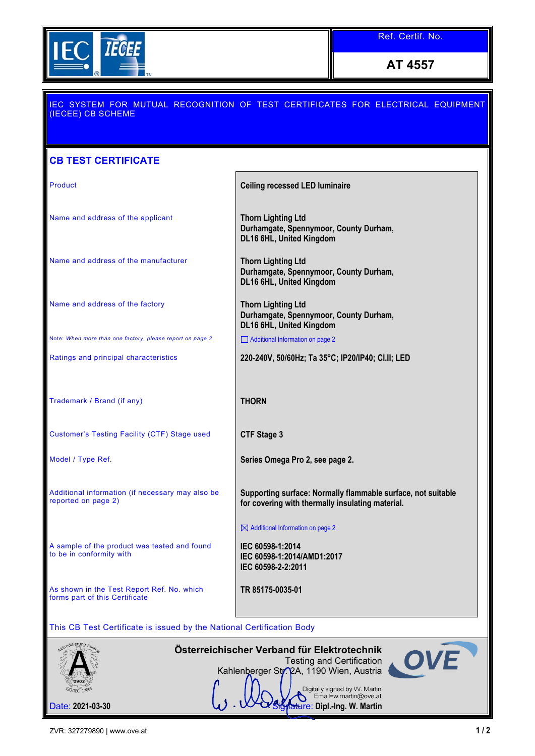

**AT 4557**

## IEC SYSTEM FOR MUTUAL RECOGNITION OF TEST CERTIFICATES FOR ELECTRICAL EQUIPMENT (IECEE) CB SCHEME **CB TEST CERTIFICATE** Product **Ceiling recessed LED luminaire** Name and address of the applicant **Thorn Lighting Ltd Durhamgate, Spennymoor, County Durham, DL16 6HL, United Kingdom** Name and address of the manufacturer **Thorn Lighting Ltd Durhamgate, Spennymoor, County Durham, DL16 6HL, United Kingdom** Name and address of the factory **Thorn Lighting Ltd Durhamgate, Spennymoor, County Durham, DL16 6HL, United Kingdom** Note: *When more than one factory, please report on page 2* Additional Information on page 2 Ratings and principal characteristics **220-240V, 50/60Hz; Ta 35°C; IP20/IP40; Cl.II; LED** Trademark / Brand (if any) **THORN** Customer's Testing Facility (CTF) Stage used **CTF Stage 3** Model / Type Ref. **Series Omega Pro 2, see page 2.** Additional information (if necessary may also be **Supporting surface: Normally flammable surface, not suitable**  reported on page 2) **for covering with thermally insulating material.**  $\boxtimes$  Additional Information on page 2 A sample of the product was tested and found **IEC 60598-1:2014** to be in conformity with **IEC 60598-1:2014/AMD1:2017 IEC 60598-2-2:2011** As shown in the Test Report Ref. No. which **TR 85175-0035-01** forms part of this Certificate This CB Test Certificate is issued by the National Certification Body **Österreichischer Verband für Elektrotechnik** Testing and Certification Kahlenberger Str. 2A, 1190 Wien, Austria ัก๑ก≫ Digitally signed by W. Martin<br>Email=w.martin@ove.at Date: 2021-03-30 **Signature: Dipl.-Ing. W. Martin**